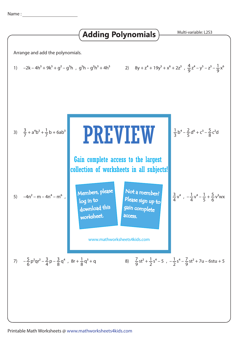